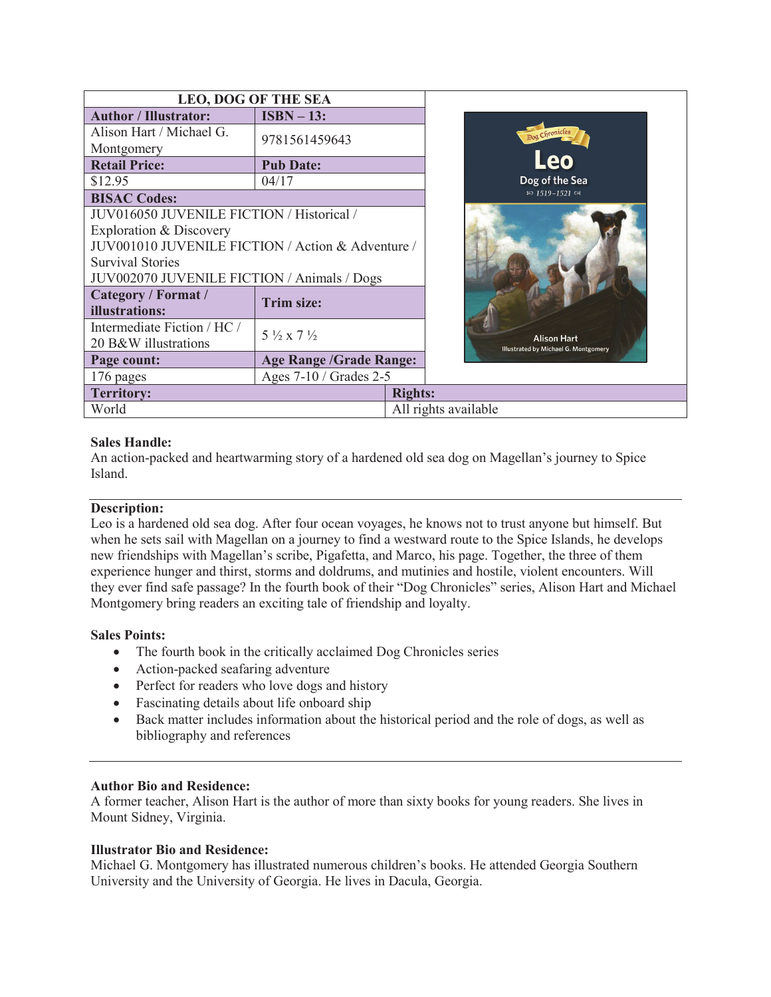| <b>LEO, DOG OF THE SEA</b>                        |                                  |                      |
|---------------------------------------------------|----------------------------------|----------------------|
| <b>Author / Illustrator:</b>                      | $ISBN - 13:$                     |                      |
| Alison Hart / Michael G.                          | 9781561459643                    |                      |
| Montgomery                                        |                                  |                      |
| <b>Retail Price:</b>                              | <b>Pub Date:</b>                 |                      |
| \$12.95                                           | 04/17                            |                      |
| <b>BISAC Codes:</b>                               |                                  |                      |
| JUV016050 JUVENILE FICTION / Historical /         |                                  |                      |
| Exploration & Discovery                           |                                  |                      |
| JUV001010 JUVENILE FICTION / Action & Adventure / |                                  |                      |
| <b>Survival Stories</b>                           |                                  |                      |
| JUV002070 JUVENILE FICTION / Animals / Dogs       |                                  |                      |
| Category / Format /                               | <b>Trim size:</b>                |                      |
| illustrations:                                    |                                  |                      |
| Intermediate Fiction / HC /                       | $5\frac{1}{2}$ x 7 $\frac{1}{2}$ |                      |
| 20 B&W illustrations                              |                                  |                      |
| Page count:                                       | <b>Age Range /Grade Range:</b>   |                      |
| 176 pages                                         | Ages 7-10 / Grades 2-5           |                      |
| <b>Territory:</b>                                 |                                  | <b>Rights:</b>       |
| World                                             |                                  | All rights available |

### **Sales Handle:**

An action-packed and heartwarming story of a hardened old sea dog on Magellan's journey to Spice Island.

#### **Description:**

Leo is a hardened old sea dog. After four ocean voyages, he knows not to trust anyone but himself. But when he sets sail with Magellan on a journey to find a westward route to the Spice Islands, he develops new friendships with Magellan's scribe, Pigafetta, and Marco, his page. Together, the three of them experience hunger and thirst, storms and doldrums, and mutinies and hostile, violent encounters. Will they ever find safe passage? In the fourth book of their "Dog Chronicles" series, Alison Hart and Michael Montgomery bring readers an exciting tale of friendship and loyalty.

#### **Sales Points:**

- The fourth book in the critically acclaimed Dog Chronicles series
- Action-packed seafaring adventure
- Perfect for readers who love dogs and history
- Fascinating details about life onboard ship
- · Back matter includes information about the historical period and the role of dogs, as well as bibliography and references

#### **Author Bio and Residence:**

A former teacher, Alison Hart is the author of more than sixty books for young readers. She lives in Mount Sidney, Virginia.

#### **Illustrator Bio and Residence:**

Michael G. Montgomery has illustrated numerous children's books. He attended Georgia Southern University and the University of Georgia. He lives in Dacula, Georgia.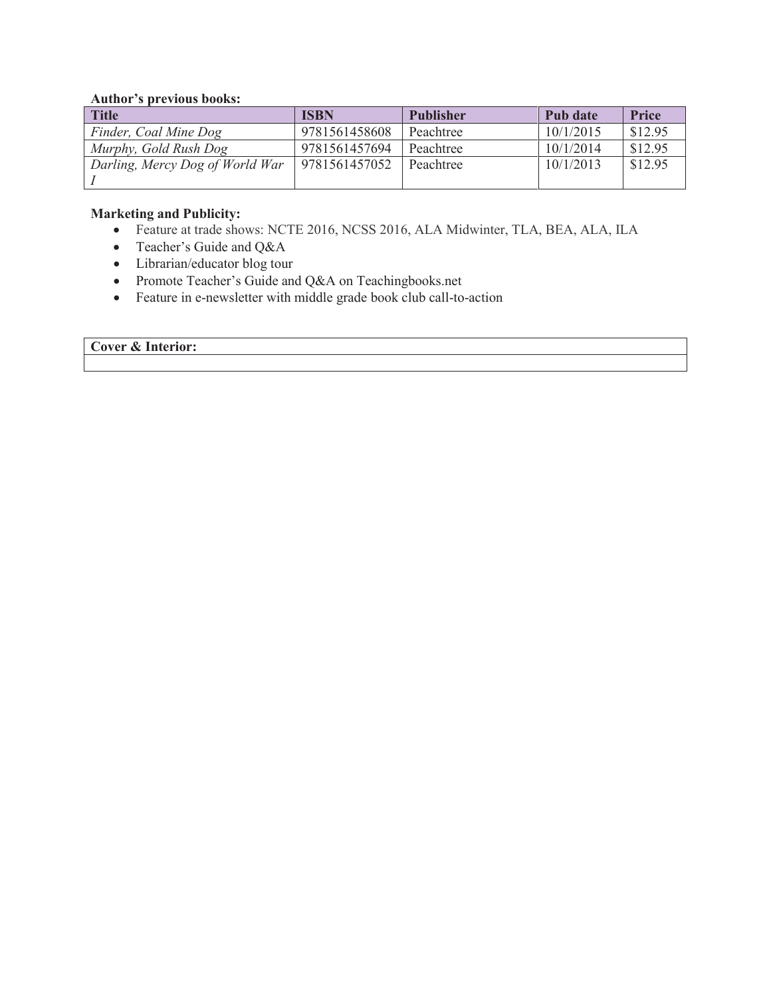#### **Author's previous books:**

| <b>Title</b>                    | <b>ISBN</b>   | <b>Publisher</b> | Pub date  | <b>Price</b> |
|---------------------------------|---------------|------------------|-----------|--------------|
| Finder, Coal Mine Dog           | 9781561458608 | Peachtree        | 10/1/2015 | \$12.95      |
| Murphy, Gold Rush Dog           | 9781561457694 | Peachtree        | 10/1/2014 | \$12.95      |
| Darling, Mercy Dog of World War | 9781561457052 | Peachtree        | 10/1/2013 | \$12.95      |
|                                 |               |                  |           |              |

#### **Marketing and Publicity:**

- · Feature at trade shows: NCTE 2016, NCSS 2016, ALA Midwinter, TLA, BEA, ALA, ILA
- Teacher's Guide and Q&A
- Librarian/educator blog tour
- Promote Teacher's Guide and Q&A on Teachingbooks.net
- Feature in e-newsletter with middle grade book club call-to-action

## **Cover & Interior:**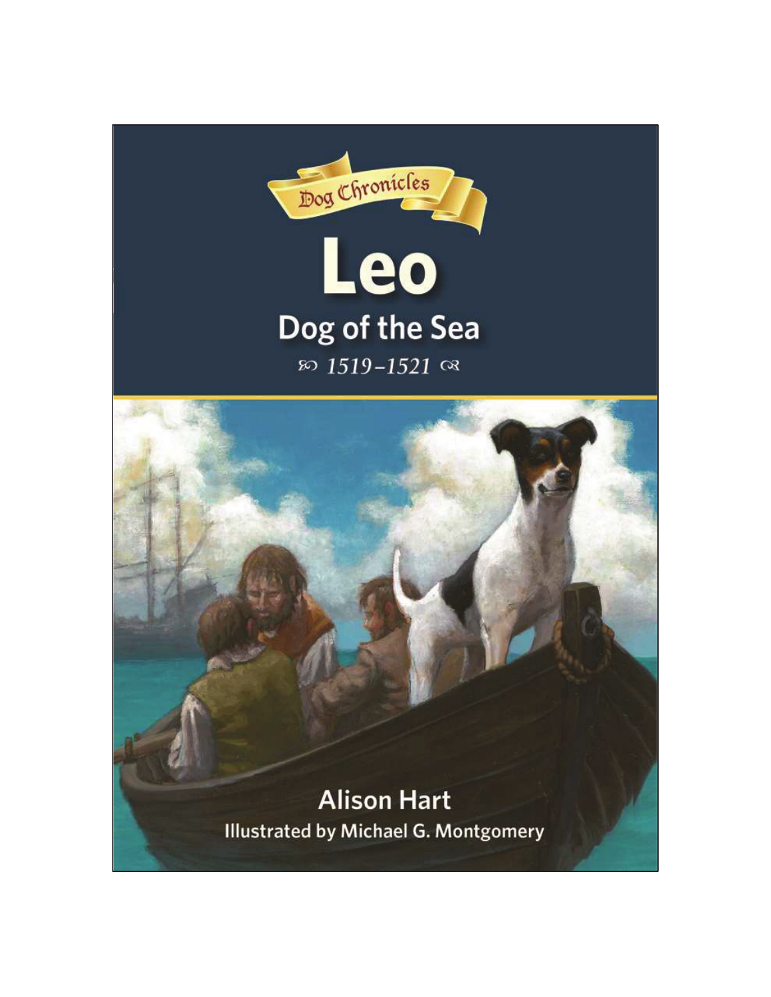